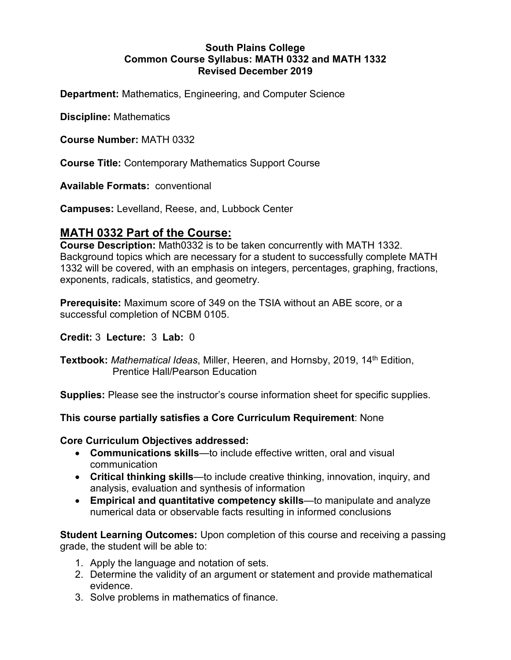#### **South Plains College Common Course Syllabus: MATH 0332 and MATH 1332 Revised December 2019**

**Department:** Mathematics, Engineering, and Computer Science

**Discipline:** Mathematics

**Course Number:** MATH 0332

**Course Title:** Contemporary Mathematics Support Course

**Available Formats:** conventional

**Campuses:** Levelland, Reese, and, Lubbock Center

# **MATH 0332 Part of the Course:**

**Course Description:** Math0332 is to be taken concurrently with MATH 1332. Background topics which are necessary for a student to successfully complete MATH 1332 will be covered, with an emphasis on integers, percentages, graphing, fractions, exponents, radicals, statistics, and geometry.

**Prerequisite:** Maximum score of 349 on the TSIA without an ABE score, or a successful completion of NCBM 0105.

#### **Credit:** 3 **Lecture:** 3 **Lab:** 0

**Textbook:** *Mathematical Ideas*, Miller, Heeren, and Hornsby, 2019, 14<sup>th</sup> Edition, Prentice Hall/Pearson Education

**Supplies:** Please see the instructor's course information sheet for specific supplies.

**This course partially satisfies a Core Curriculum Requirement**: None

#### **Core Curriculum Objectives addressed:**

- **Communications skills**—to include effective written, oral and visual communication
- **Critical thinking skills**—to include creative thinking, innovation, inquiry, and analysis, evaluation and synthesis of information
- **Empirical and quantitative competency skills**—to manipulate and analyze numerical data or observable facts resulting in informed conclusions

**Student Learning Outcomes:** Upon completion of this course and receiving a passing grade, the student will be able to:

- 1. Apply the language and notation of sets.
- 2. Determine the validity of an argument or statement and provide mathematical evidence.
- 3. Solve problems in mathematics of finance.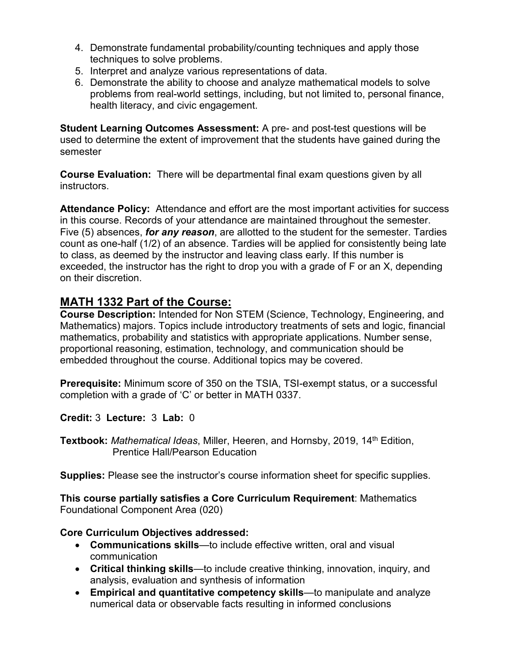- 4. Demonstrate fundamental probability/counting techniques and apply those techniques to solve problems.
- 5. Interpret and analyze various representations of data.
- 6. Demonstrate the ability to choose and analyze mathematical models to solve problems from real-world settings, including, but not limited to, personal finance, health literacy, and civic engagement.

**Student Learning Outcomes Assessment:** A pre- and post-test questions will be used to determine the extent of improvement that the students have gained during the semester

**Course Evaluation:** There will be departmental final exam questions given by all instructors.

**Attendance Policy:** Attendance and effort are the most important activities for success in this course. Records of your attendance are maintained throughout the semester. Five (5) absences, *for any reason*, are allotted to the student for the semester. Tardies count as one-half (1/2) of an absence. Tardies will be applied for consistently being late to class, as deemed by the instructor and leaving class early. If this number is exceeded, the instructor has the right to drop you with a grade of F or an X, depending on their discretion.

# **MATH 1332 Part of the Course:**

**Course Description:** Intended for Non STEM (Science, Technology, Engineering, and Mathematics) majors. Topics include introductory treatments of sets and logic, financial mathematics, probability and statistics with appropriate applications. Number sense, proportional reasoning, estimation, technology, and communication should be embedded throughout the course. Additional topics may be covered.

**Prerequisite:** Minimum score of 350 on the TSIA, TSI-exempt status, or a successful completion with a grade of 'C' or better in MATH 0337.

**Credit:** 3 **Lecture:** 3 **Lab:** 0

**Textbook:** *Mathematical Ideas*, Miller, Heeren, and Hornsby, 2019, 14<sup>th</sup> Edition, Prentice Hall/Pearson Education

**Supplies:** Please see the instructor's course information sheet for specific supplies.

**This course partially satisfies a Core Curriculum Requirement**: Mathematics Foundational Component Area (020)

# **Core Curriculum Objectives addressed:**

- **Communications skills**—to include effective written, oral and visual communication
- **Critical thinking skills**—to include creative thinking, innovation, inquiry, and analysis, evaluation and synthesis of information
- **Empirical and quantitative competency skills**—to manipulate and analyze numerical data or observable facts resulting in informed conclusions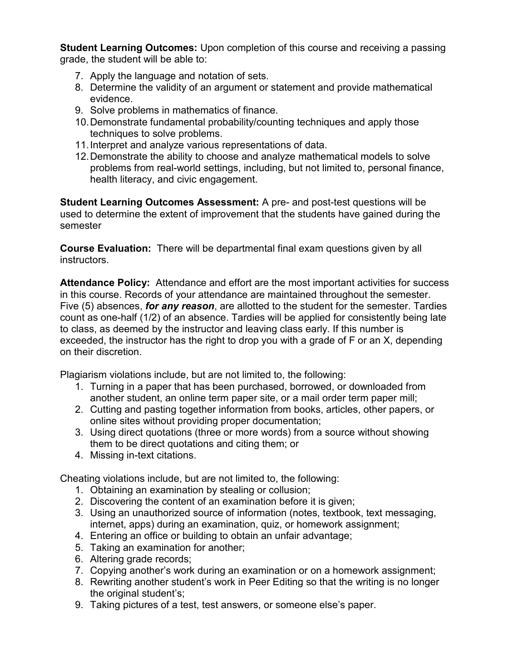**Student Learning Outcomes:** Upon completion of this course and receiving a passing grade, the student will be able to:

- 7. Apply the language and notation of sets.
- 8. Determine the validity of an argument or statement and provide mathematical evidence.
- 9. Solve problems in mathematics of finance.
- 10.Demonstrate fundamental probability/counting techniques and apply those techniques to solve problems.
- 11.Interpret and analyze various representations of data.
- 12.Demonstrate the ability to choose and analyze mathematical models to solve problems from real-world settings, including, but not limited to, personal finance, health literacy, and civic engagement.

**Student Learning Outcomes Assessment:** A pre- and post-test questions will be used to determine the extent of improvement that the students have gained during the semester

**Course Evaluation:** There will be departmental final exam questions given by all instructors.

**Attendance Policy:** Attendance and effort are the most important activities for success in this course. Records of your attendance are maintained throughout the semester. Five (5) absences, *for any reason*, are allotted to the student for the semester. Tardies count as one-half (1/2) of an absence. Tardies will be applied for consistently being late to class, as deemed by the instructor and leaving class early. If this number is exceeded, the instructor has the right to drop you with a grade of F or an X, depending on their discretion.

Plagiarism violations include, but are not limited to, the following:

- 1. Turning in a paper that has been purchased, borrowed, or downloaded from another student, an online term paper site, or a mail order term paper mill;
- 2. Cutting and pasting together information from books, articles, other papers, or online sites without providing proper documentation;
- 3. Using direct quotations (three or more words) from a source without showing them to be direct quotations and citing them; or
- 4. Missing in-text citations.

Cheating violations include, but are not limited to, the following:

- 1. Obtaining an examination by stealing or collusion;
- 2. Discovering the content of an examination before it is given;
- 3. Using an unauthorized source of information (notes, textbook, text messaging, internet, apps) during an examination, quiz, or homework assignment;
- 4. Entering an office or building to obtain an unfair advantage;
- 5. Taking an examination for another;
- 6. Altering grade records;
- 7. Copying another's work during an examination or on a homework assignment;
- 8. Rewriting another student's work in Peer Editing so that the writing is no longer the original student's;
- 9. Taking pictures of a test, test answers, or someone else's paper.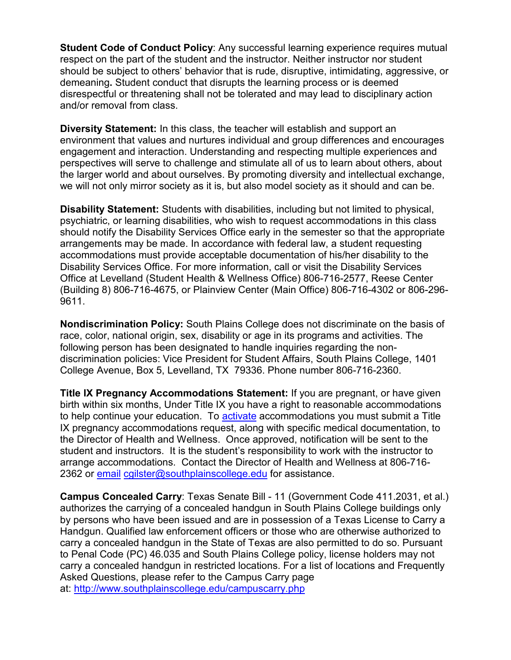**Student Code of Conduct Policy:** Any successful learning experience requires mutual respect on the part of the student and the instructor. Neither instructor nor student should be subject to others' behavior that is rude, disruptive, intimidating, aggressive, or demeaning**.** Student conduct that disrupts the learning process or is deemed disrespectful or threatening shall not be tolerated and may lead to disciplinary action and/or removal from class.

**Diversity Statement:** In this class, the teacher will establish and support an environment that values and nurtures individual and group differences and encourages engagement and interaction. Understanding and respecting multiple experiences and perspectives will serve to challenge and stimulate all of us to learn about others, about the larger world and about ourselves. By promoting diversity and intellectual exchange, we will not only mirror society as it is, but also model society as it should and can be.

**Disability Statement:** Students with disabilities, including but not limited to physical, psychiatric, or learning disabilities, who wish to request accommodations in this class should notify the Disability Services Office early in the semester so that the appropriate arrangements may be made. In accordance with federal law, a student requesting accommodations must provide acceptable documentation of his/her disability to the Disability Services Office. For more information, call or visit the Disability Services Office at Levelland (Student Health & Wellness Office) 806-716-2577, Reese Center (Building 8) 806-716-4675, or Plainview Center (Main Office) 806-716-4302 or 806-296- 9611.

**Nondiscrimination Policy:** South Plains College does not discriminate on the basis of race, color, national origin, sex, disability or age in its programs and activities. The following person has been designated to handle inquiries regarding the nondiscrimination policies: Vice President for Student Affairs, South Plains College, 1401 College Avenue, Box 5, Levelland, TX 79336. Phone number 806-716-2360.

**Title IX Pregnancy Accommodations Statement:** If you are pregnant, or have given birth within six months, Under Title IX you have a right to reasonable accommodations to help continue your education. To [activate](http://www.southplainscollege.edu/employees/manualshandbooks/facultyhandbook/sec4.php) accommodations you must submit a Title IX pregnancy accommodations request, along with specific medical documentation, to the Director of Health and Wellness. Once approved, notification will be sent to the student and instructors. It is the student's responsibility to work with the instructor to arrange accommodations. Contact the Director of Health and Wellness at 806-716 2362 or [email](http://www.southplainscollege.edu/employees/manualshandbooks/facultyhandbook/sec4.php) [cgilster@southplainscollege.edu](mailto:cgilster@southplainscollege.edu) for assistance.

**Campus Concealed Carry**: Texas Senate Bill - 11 (Government Code 411.2031, et al.) authorizes the carrying of a concealed handgun in South Plains College buildings only by persons who have been issued and are in possession of a Texas License to Carry a Handgun. Qualified law enforcement officers or those who are otherwise authorized to carry a concealed handgun in the State of Texas are also permitted to do so. Pursuant to Penal Code (PC) 46.035 and South Plains College policy, license holders may not carry a concealed handgun in restricted locations. For a list of locations and Frequently Asked Questions, please refer to the Campus Carry page at: <http://www.southplainscollege.edu/campuscarry.php>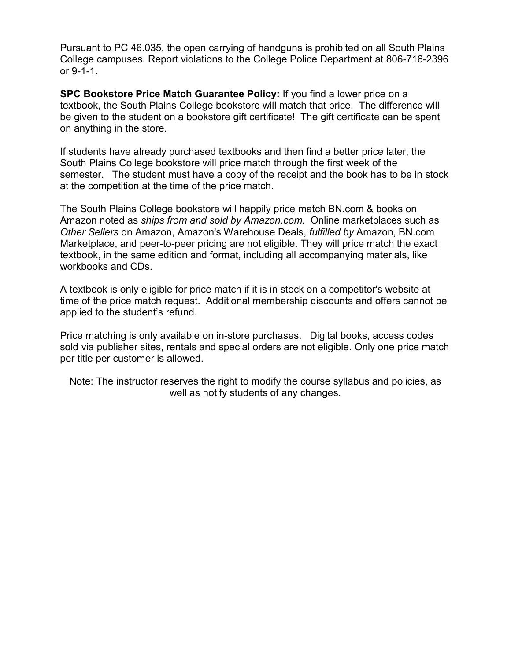Pursuant to PC 46.035, the open carrying of handguns is prohibited on all South Plains College campuses. Report violations to the College Police Department at 806-716-2396 or 9-1-1.

**SPC Bookstore Price Match Guarantee Policy:** If you find a lower price on a textbook, the South Plains College bookstore will match that price. The difference will be given to the student on a bookstore gift certificate! The gift certificate can be spent on anything in the store.

If students have already purchased textbooks and then find a better price later, the South Plains College bookstore will price match through the first week of the semester. The student must have a copy of the receipt and the book has to be in stock at the competition at the time of the price match.

The South Plains College bookstore will happily price match BN.com & books on Amazon noted as *ships from and sold by Amazon.com*. Online marketplaces such as *Other Sellers* on Amazon, Amazon's Warehouse Deals, *fulfilled by* Amazon, BN.com Marketplace, and peer-to-peer pricing are not eligible. They will price match the exact textbook, in the same edition and format, including all accompanying materials, like workbooks and CDs.

A textbook is only eligible for price match if it is in stock on a competitor's website at time of the price match request. Additional membership discounts and offers cannot be applied to the student's refund.

Price matching is only available on in-store purchases. Digital books, access codes sold via publisher sites, rentals and special orders are not eligible. Only one price match per title per customer is allowed.

Note: The instructor reserves the right to modify the course syllabus and policies, as well as notify students of any changes.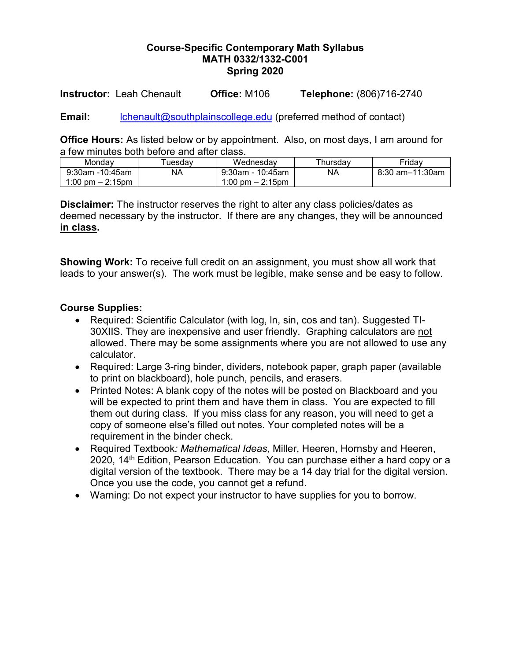#### **Course-Specific Contemporary Math Syllabus MATH 0332/1332-C001 Spring 2020**

**Instructor:** Leah Chenault **Office:** M106 **Telephone:** (806)716-2740

Email: [lchenault@southplainscollege.edu](mailto:lchenault@southplainscollege.edu) (preferred method of contact)

**Office Hours:** As listed below or by appointment. Also, on most days, I am around for a few minutes both before and after class.

| Mondav                             | uesdav | Wednesdav          | Thursday | Friday          |
|------------------------------------|--------|--------------------|----------|-----------------|
| $9:30$ am -10:45am                 | NA     | 9:30am - 10:45am   | NA       | 8:30 am–11:30am |
| $1:00 \text{ pm} - 2:15 \text{pm}$ |        | 1:00 pm $-$ 2:15pm |          |                 |

**Disclaimer:** The instructor reserves the right to alter any class policies/dates as deemed necessary by the instructor. If there are any changes, they will be announced **in class.** 

**Showing Work:** To receive full credit on an assignment, you must show all work that leads to your answer(s). The work must be legible, make sense and be easy to follow.

## **Course Supplies:**

- Required: Scientific Calculator (with log, ln, sin, cos and tan). Suggested TI-30XIIS. They are inexpensive and user friendly. Graphing calculators are not allowed. There may be some assignments where you are not allowed to use any calculator.
- Required: Large 3-ring binder, dividers, notebook paper, graph paper (available to print on blackboard), hole punch, pencils, and erasers.
- Printed Notes: A blank copy of the notes will be posted on Blackboard and you will be expected to print them and have them in class. You are expected to fill them out during class. If you miss class for any reason, you will need to get a copy of someone else's filled out notes. Your completed notes will be a requirement in the binder check.
- Required Textbook*: Mathematical Ideas,* Miller, Heeren, Hornsby and Heeren, 2020, 14<sup>th</sup> Edition, Pearson Education. You can purchase either a hard copy or a digital version of the textbook. There may be a 14 day trial for the digital version. Once you use the code, you cannot get a refund.
- Warning: Do not expect your instructor to have supplies for you to borrow.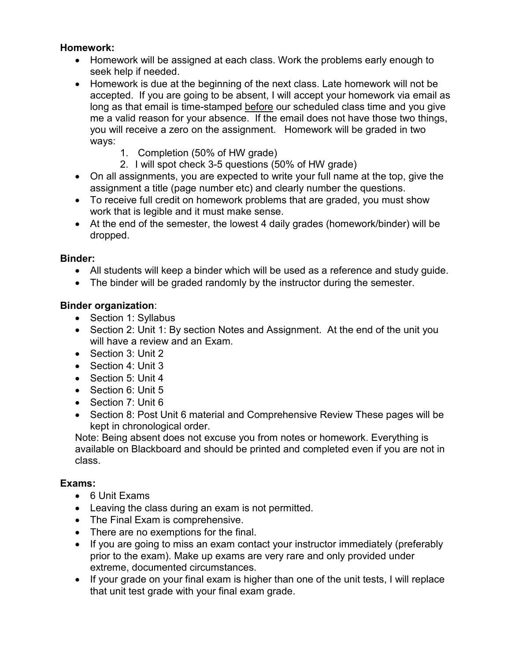# **Homework:**

- Homework will be assigned at each class. Work the problems early enough to seek help if needed.
- Homework is due at the beginning of the next class. Late homework will not be accepted. If you are going to be absent, I will accept your homework via email as long as that email is time-stamped before our scheduled class time and you give me a valid reason for your absence. If the email does not have those two things, you will receive a zero on the assignment. Homework will be graded in two ways:
	- 1. Completion (50% of HW grade)
	- 2. I will spot check 3-5 questions (50% of HW grade)
- On all assignments, you are expected to write your full name at the top, give the assignment a title (page number etc) and clearly number the questions.
- To receive full credit on homework problems that are graded, you must show work that is legible and it must make sense.
- At the end of the semester, the lowest 4 daily grades (homework/binder) will be dropped.

# **Binder:**

- All students will keep a binder which will be used as a reference and study guide.
- The binder will be graded randomly by the instructor during the semester.

# **Binder organization**:

- Section 1: Syllabus
- Section 2: Unit 1: By section Notes and Assignment. At the end of the unit you will have a review and an Exam.
- Section 3: Unit 2
- Section 4: Unit 3
- Section 5: Unit 4
- Section 6: Unit 5
- Section 7: Unit 6
- Section 8: Post Unit 6 material and Comprehensive Review These pages will be kept in chronological order.

Note: Being absent does not excuse you from notes or homework. Everything is available on Blackboard and should be printed and completed even if you are not in class.

# **Exams:**

- 6 Unit Exams
- Leaving the class during an exam is not permitted.
- The Final Exam is comprehensive.
- There are no exemptions for the final.
- If you are going to miss an exam contact your instructor immediately (preferably prior to the exam). Make up exams are very rare and only provided under extreme, documented circumstances.
- If your grade on your final exam is higher than one of the unit tests, I will replace that unit test grade with your final exam grade.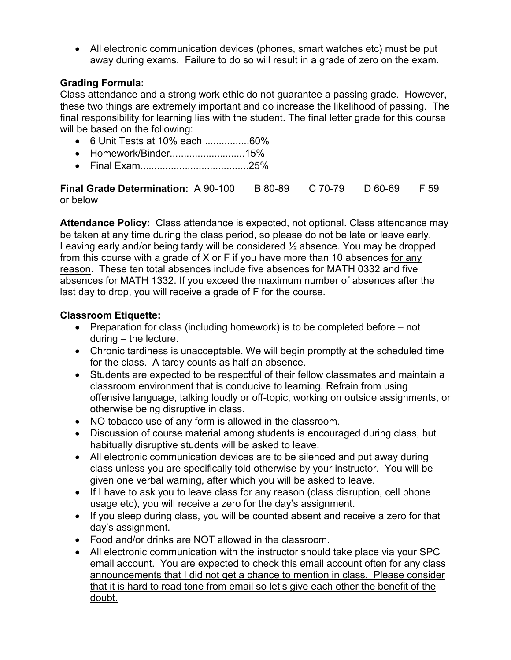• All electronic communication devices (phones, smart watches etc) must be put away during exams. Failure to do so will result in a grade of zero on the exam.

## **Grading Formula:**

Class attendance and a strong work ethic do not guarantee a passing grade. However, these two things are extremely important and do increase the likelihood of passing. The final responsibility for learning lies with the student. The final letter grade for this course will be based on the following:

- 6 Unit Tests at 10% each ................60%
- Homework/Binder...........................15%
- Final Exam.......................................25%

**Final Grade Determination:** A 90-100 B 80-89 C 70-79 D 60-69 F 59 or below

**Attendance Policy:** Class attendance is expected, not optional. Class attendance may be taken at any time during the class period, so please do not be late or leave early. Leaving early and/or being tardy will be considered ½ absence. You may be dropped from this course with a grade of X or F if you have more than 10 absences for any reason. These ten total absences include five absences for MATH 0332 and five absences for MATH 1332. If you exceed the maximum number of absences after the last day to drop, you will receive a grade of F for the course.

## **Classroom Etiquette:**

- Preparation for class (including homework) is to be completed before not during – the lecture.
- Chronic tardiness is unacceptable. We will begin promptly at the scheduled time for the class. A tardy counts as half an absence.
- Students are expected to be respectful of their fellow classmates and maintain a classroom environment that is conducive to learning. Refrain from using offensive language, talking loudly or off-topic, working on outside assignments, or otherwise being disruptive in class.
- NO tobacco use of any form is allowed in the classroom.
- Discussion of course material among students is encouraged during class, but habitually disruptive students will be asked to leave.
- All electronic communication devices are to be silenced and put away during class unless you are specifically told otherwise by your instructor. You will be given one verbal warning, after which you will be asked to leave.
- If I have to ask you to leave class for any reason (class disruption, cell phone usage etc), you will receive a zero for the day's assignment.
- If you sleep during class, you will be counted absent and receive a zero for that day's assignment.
- Food and/or drinks are NOT allowed in the classroom.
- All electronic communication with the instructor should take place via your SPC email account. You are expected to check this email account often for any class announcements that I did not get a chance to mention in class. Please consider that it is hard to read tone from email so let's give each other the benefit of the doubt.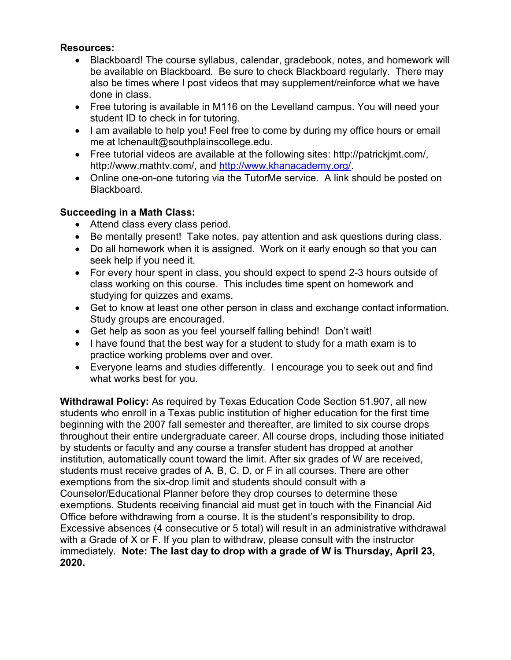## **Resources:**

- Blackboard! The course syllabus, calendar, gradebook, notes, and homework will be available on Blackboard. Be sure to check Blackboard regularly. There may also be times where I post videos that may supplement/reinforce what we have done in class.
- Free tutoring is available in M116 on the Levelland campus. You will need your student ID to check in for tutoring.
- I am available to help you! Feel free to come by during my office hours or email me at lchenault@southplainscollege.edu.
- Free tutorial videos are available at the following sites: http://patrickjmt.com/, http://www.mathtv.com/, and [http://www.khanacademy.org/.](http://www.khanacademy.org/)
- Online one-on-one tutoring via the TutorMe service. A link should be posted on Blackboard.

# **Succeeding in a Math Class:**

- Attend class every class period.
- Be mentally present! Take notes, pay attention and ask questions during class.
- Do all homework when it is assigned. Work on it early enough so that you can seek help if you need it.
- For every hour spent in class, you should expect to spend 2-3 hours outside of class working on this course. This includes time spent on homework and studying for quizzes and exams.
- Get to know at least one other person in class and exchange contact information. Study groups are encouraged.
- Get help as soon as you feel yourself falling behind! Don't wait!
- I have found that the best way for a student to study for a math exam is to practice working problems over and over.
- Everyone learns and studies differently. I encourage you to seek out and find what works best for you.

**Withdrawal Policy:** As required by Texas Education Code Section 51.907, all new students who enroll in a Texas public institution of higher education for the first time beginning with the 2007 fall semester and thereafter, are limited to six course drops throughout their entire undergraduate career. All course drops, including those initiated by students or faculty and any course a transfer student has dropped at another institution, automatically count toward the limit. After six grades of W are received, students must receive grades of A, B, C, D, or F in all courses. There are other exemptions from the six-drop limit and students should consult with a Counselor/Educational Planner before they drop courses to determine these exemptions. Students receiving financial aid must get in touch with the Financial Aid Office before withdrawing from a course. It is the student's responsibility to drop. Excessive absences (4 consecutive or 5 total) will result in an administrative withdrawal with a Grade of X or F. If you plan to withdraw, please consult with the instructor immediately. **Note: The last day to drop with a grade of W is Thursday, April 23, 2020.**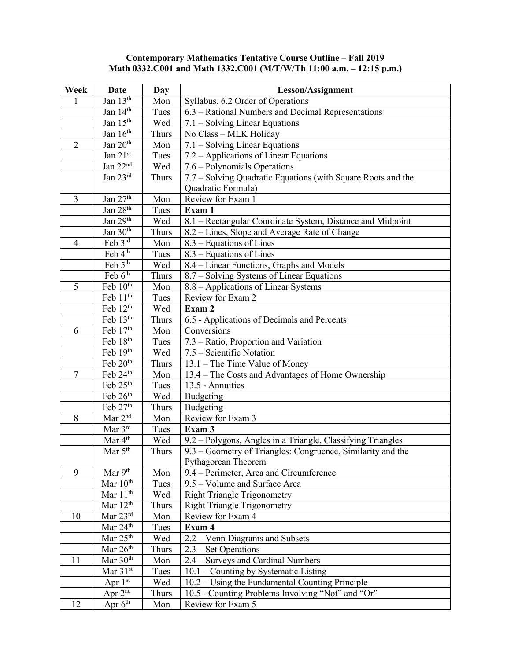#### **Contemporary Mathematics Tentative Course Outline – Fall 2019 Math 0332.C001 and Math 1332.C001 (M/T/W/Th 11:00 a.m. – 12:15 p.m.)**

| Week           | Date                    | Day          | <b>Lesson/Assignment</b>                                                      |
|----------------|-------------------------|--------------|-------------------------------------------------------------------------------|
| 1              | Jan 13th                | Mon          | Syllabus, 6.2 Order of Operations                                             |
|                | Jan 14th                | Tues         | 6.3 – Rational Numbers and Decimal Representations                            |
|                | Jan 15 <sup>th</sup>    | Wed          | 7.1 – Solving Linear Equations                                                |
|                | Jan 16th                | Thurs        | No Class - MLK Holiday                                                        |
| $\overline{2}$ | Jan 20 <sup>th</sup>    | Mon          | 7.1 – Solving Linear Equations                                                |
|                | Jan 21st                | Tues         | 7.2 – Applications of Linear Equations                                        |
|                | Jan 22nd                | Wed          | 7.6 – Polynomials Operations                                                  |
|                | Jan $23^{rd}$           | Thurs        | 7.7 – Solving Quadratic Equations (with Square Roots and the                  |
|                |                         |              | Quadratic Formula)                                                            |
| 3              | Jan 27 <sup>th</sup>    | Mon          | Review for Exam 1                                                             |
|                | Jan 28 <sup>th</sup>    | Tues         | Exam 1                                                                        |
|                | Jan 29th                | Wed          | 8.1 – Rectangular Coordinate System, Distance and Midpoint                    |
|                | Jan 30th                | Thurs        | 8.2 – Lines, Slope and Average Rate of Change                                 |
| $\overline{4}$ | Feb $3^{\text{rd}}$     | Mon          | 8.3 – Equations of Lines                                                      |
|                | Feb 4 <sup>th</sup>     | Tues         | $8.3$ – Equations of Lines                                                    |
|                | Feb $5th$               | Wed          | 8.4 – Linear Functions, Graphs and Models                                     |
|                | Feb 6th                 | Thurs        | 8.7 – Solving Systems of Linear Equations                                     |
| 5              | Feb 10 <sup>th</sup>    | Mon          | 8.8 - Applications of Linear Systems                                          |
|                | Feb 11 <sup>th</sup>    | Tues         | Review for Exam 2                                                             |
|                | Feb $12^{th}$           | Wed          | Exam 2                                                                        |
|                | Feb 13 <sup>th</sup>    | Thurs        | 6.5 - Applications of Decimals and Percents                                   |
| 6              | Feb 17th                | Mon          | Conversions                                                                   |
|                | Feb 18th                | Tues         | 7.3 - Ratio, Proportion and Variation                                         |
|                | Feb 19th                | Wed          | 7.5 – Scientific Notation                                                     |
|                | Feb 20th                | Thurs        | 13.1 – The Time Value of Money                                                |
| 7              | Feb 24th                | Mon          | 13.4 – The Costs and Advantages of Home Ownership                             |
|                | Feb 25th                | Tues         | 13.5 - Annuities                                                              |
|                | Feb 26th                | Wed          | Budgeting                                                                     |
|                | Feb 27th                | Thurs        | Budgeting                                                                     |
| 8              | Mar 2 <sup>nd</sup>     | Mon          | Review for Exam 3                                                             |
|                | Mar 3rd                 | Tues         | Exam 3                                                                        |
|                | Mar $4th$               | Wed          | 9.2 – Polygons, Angles in a Triangle, Classifying Triangles                   |
|                | Mar $5th$               | <b>Thurs</b> | 9.3 - Geometry of Triangles: Congruence, Similarity and the                   |
|                |                         |              | Pythagorean Theorem                                                           |
| 9              | Mar 9th                 | Mon          | 9.4 – Perimeter, Area and Circumference                                       |
|                | Mar 10th                | Tues         | 9.5 – Volume and Surface Area                                                 |
|                | Mar $11th$              | Wed          | <b>Right Triangle Trigonometry</b>                                            |
|                | Mar $12th$<br>Mar 23rd  | Thurs        | <b>Right Triangle Trigonometry</b>                                            |
| 10             | Mar 24th                | Mon          | Review for Exam 4                                                             |
|                | Mar $25th$              | Tues         | Exam 4                                                                        |
|                | Mar 26 <sup>th</sup>    | Wed          | 2.2 – Venn Diagrams and Subsets                                               |
| 11             | Mar $30th$              | Thurs<br>Mon | $2.3$ – Set Operations                                                        |
|                | Mar 31st                | Tues         | 2.4 - Surveys and Cardinal Numbers<br>$10.1$ – Counting by Systematic Listing |
|                | Apr $1st$               | Wed          | $10.2 - Using the Fundamental Counting Principle$                             |
|                | Apr 2 <sup>nd</sup>     |              | 10.5 - Counting Problems Involving "Not" and "Or"                             |
|                | Apr $6^{\overline{th}}$ | Thurs        | Review for Exam 5                                                             |
| 12             |                         | Mon          |                                                                               |